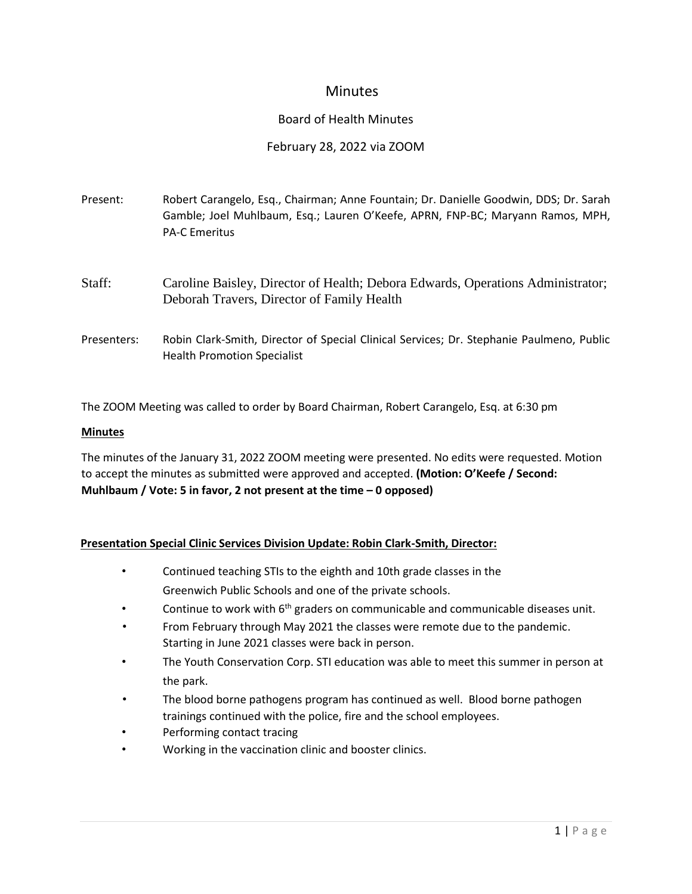# **Minutes**

### Board of Health Minutes

### February 28, 2022 via ZOOM

| Present:    | Robert Carangelo, Esq., Chairman; Anne Fountain; Dr. Danielle Goodwin, DDS; Dr. Sarah<br>Gamble; Joel Muhlbaum, Esq.; Lauren O'Keefe, APRN, FNP-BC; Maryann Ramos, MPH,<br><b>PA-C Emeritus</b> |
|-------------|-------------------------------------------------------------------------------------------------------------------------------------------------------------------------------------------------|
| Staff:      | Caroline Baisley, Director of Health; Debora Edwards, Operations Administrator;<br>Deborah Travers, Director of Family Health                                                                   |
| Presenters: | Robin Clark-Smith, Director of Special Clinical Services; Dr. Stephanie Paulmeno, Public<br><b>Health Promotion Specialist</b>                                                                  |

The ZOOM Meeting was called to order by Board Chairman, Robert Carangelo, Esq. at 6:30 pm

#### **Minutes**

The minutes of the January 31, 2022 ZOOM meeting were presented. No edits were requested. Motion to accept the minutes as submitted were approved and accepted. **(Motion: O'Keefe / Second: Muhlbaum / Vote: 5 in favor, 2 not present at the time – 0 opposed)**

#### **Presentation Special Clinic Services Division Update: Robin Clark-Smith, Director:**

- Continued teaching STIs to the eighth and 10th grade classes in the Greenwich Public Schools and one of the private schools.
- Continue to work with  $6<sup>th</sup>$  graders on communicable and communicable diseases unit.
- From February through May 2021 the classes were remote due to the pandemic. Starting in June 2021 classes were back in person.
- The Youth Conservation Corp. STI education was able to meet this summer in person at the park.
- The blood borne pathogens program has continued as well. Blood borne pathogen trainings continued with the police, fire and the school employees.
- Performing contact tracing
- Working in the vaccination clinic and booster clinics.